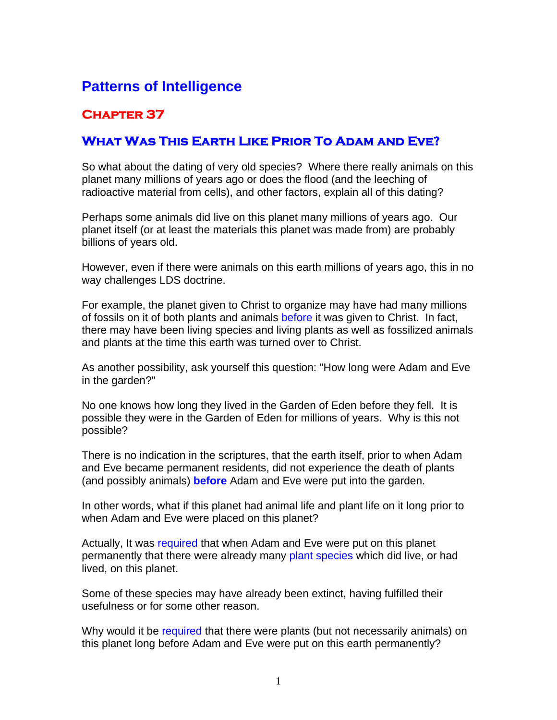## **Patterns of Intelligence**

## **Chapter 37**

## **What Was This Earth Like Prior To Adam and Eve?**

So what about the dating of very old species? Where there really animals on this planet many millions of years ago or does the flood (and the leeching of radioactive material from cells), and other factors, explain all of this dating?

Perhaps some animals did live on this planet many millions of years ago. Our planet itself (or at least the materials this planet was made from) are probably billions of years old.

However, even if there were animals on this earth millions of years ago, this in no way challenges LDS doctrine.

For example, the planet given to Christ to organize may have had many millions of fossils on it of both plants and animals before it was given to Christ. In fact, there may have been living species and living plants as well as fossilized animals and plants at the time this earth was turned over to Christ.

As another possibility, ask yourself this question: "How long were Adam and Eve in the garden?"

No one knows how long they lived in the Garden of Eden before they fell. It is possible they were in the Garden of Eden for millions of years. Why is this not possible?

There is no indication in the scriptures, that the earth itself, prior to when Adam and Eve became permanent residents, did not experience the death of plants (and possibly animals) **before** Adam and Eve were put into the garden.

In other words, what if this planet had animal life and plant life on it long prior to when Adam and Eve were placed on this planet?

Actually, It was required that when Adam and Eve were put on this planet permanently that there were already many plant species which did live, or had lived, on this planet.

Some of these species may have already been extinct, having fulfilled their usefulness or for some other reason.

Why would it be required that there were plants (but not necessarily animals) on this planet long before Adam and Eve were put on this earth permanently?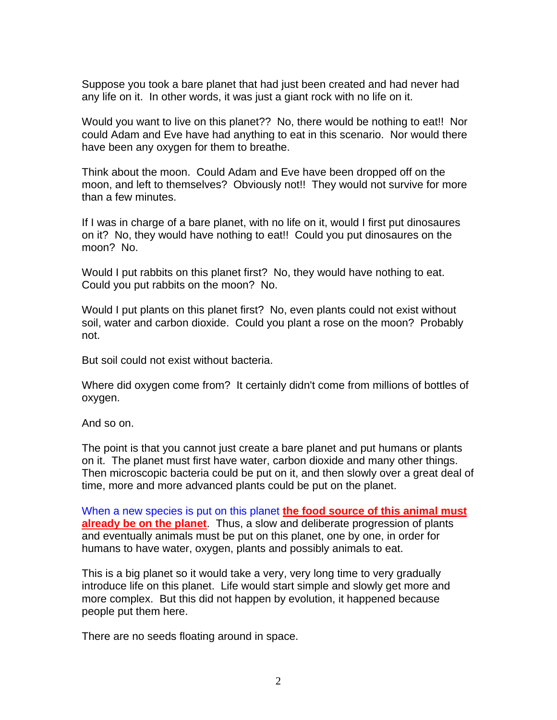Suppose you took a bare planet that had just been created and had never had any life on it. In other words, it was just a giant rock with no life on it.

Would you want to live on this planet?? No, there would be nothing to eat!! Nor could Adam and Eve have had anything to eat in this scenario. Nor would there have been any oxygen for them to breathe.

Think about the moon. Could Adam and Eve have been dropped off on the moon, and left to themselves? Obviously not!! They would not survive for more than a few minutes.

If I was in charge of a bare planet, with no life on it, would I first put dinosaures on it? No, they would have nothing to eat!! Could you put dinosaures on the moon? No.

Would I put rabbits on this planet first? No, they would have nothing to eat. Could you put rabbits on the moon? No.

Would I put plants on this planet first? No, even plants could not exist without soil, water and carbon dioxide. Could you plant a rose on the moon? Probably not.

But soil could not exist without bacteria.

Where did oxygen come from? It certainly didn't come from millions of bottles of oxygen.

And so on.

The point is that you cannot just create a bare planet and put humans or plants on it. The planet must first have water, carbon dioxide and many other things. Then microscopic bacteria could be put on it, and then slowly over a great deal of time, more and more advanced plants could be put on the planet.

When a new species is put on this planet **the food source of this animal must already be on the planet**. Thus, a slow and deliberate progression of plants and eventually animals must be put on this planet, one by one, in order for humans to have water, oxygen, plants and possibly animals to eat.

This is a big planet so it would take a very, very long time to very gradually introduce life on this planet. Life would start simple and slowly get more and more complex. But this did not happen by evolution, it happened because people put them here.

There are no seeds floating around in space.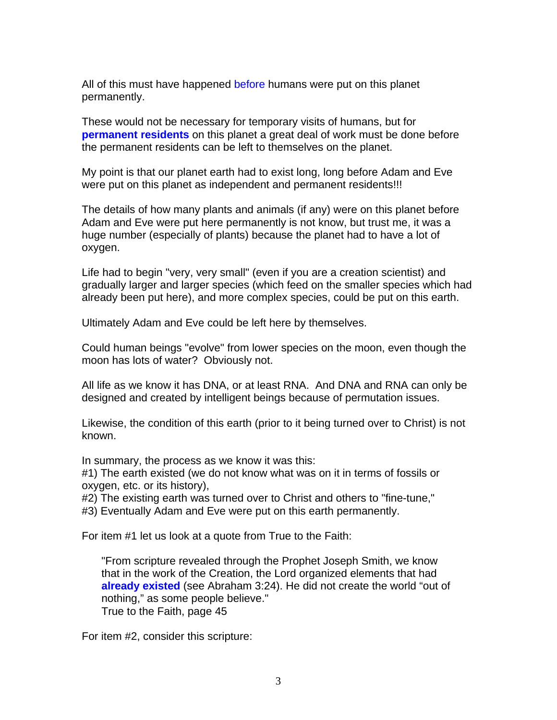All of this must have happened before humans were put on this planet permanently.

These would not be necessary for temporary visits of humans, but for **permanent residents** on this planet a great deal of work must be done before the permanent residents can be left to themselves on the planet.

My point is that our planet earth had to exist long, long before Adam and Eve were put on this planet as independent and permanent residents!!!

The details of how many plants and animals (if any) were on this planet before Adam and Eve were put here permanently is not know, but trust me, it was a huge number (especially of plants) because the planet had to have a lot of oxygen.

Life had to begin "very, very small" (even if you are a creation scientist) and gradually larger and larger species (which feed on the smaller species which had already been put here), and more complex species, could be put on this earth.

Ultimately Adam and Eve could be left here by themselves.

Could human beings "evolve" from lower species on the moon, even though the moon has lots of water? Obviously not.

All life as we know it has DNA, or at least RNA. And DNA and RNA can only be designed and created by intelligent beings because of permutation issues.

Likewise, the condition of this earth (prior to it being turned over to Christ) is not known.

In summary, the process as we know it was this:

#1) The earth existed (we do not know what was on it in terms of fossils or oxygen, etc. or its history),

#2) The existing earth was turned over to Christ and others to "fine-tune,"

#3) Eventually Adam and Eve were put on this earth permanently.

For item #1 let us look at a quote from True to the Faith:

"From scripture revealed through the Prophet Joseph Smith, we know that in the work of the Creation, the Lord organized elements that had **already existed** (see Abraham 3:24). He did not create the world "out of nothing," as some people believe." True to the Faith, page 45

For item #2, consider this scripture: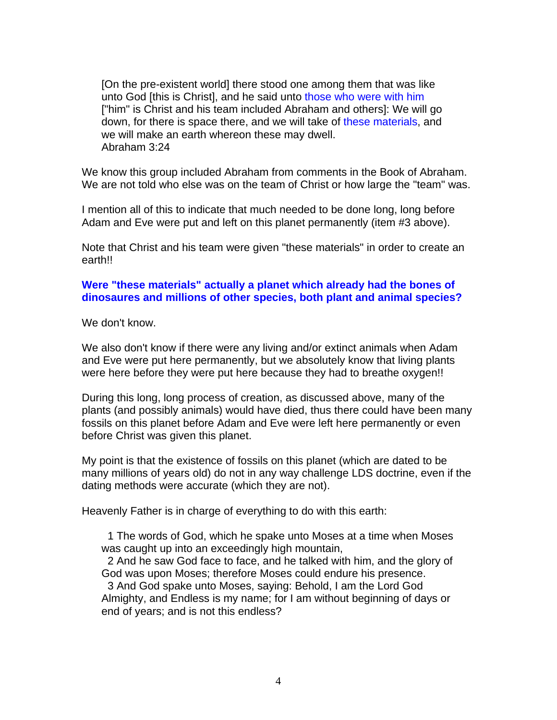[On the pre-existent world] there stood one among them that was like unto God [this is Christ], and he said unto those who were with him ["him" is Christ and his team included Abraham and others]: We will go down, for there is space there, and we will take of these materials, and we will make an earth whereon these may dwell. Abraham 3:24

We know this group included Abraham from comments in the Book of Abraham. We are not told who else was on the team of Christ or how large the "team" was.

I mention all of this to indicate that much needed to be done long, long before Adam and Eve were put and left on this planet permanently (item #3 above).

Note that Christ and his team were given "these materials" in order to create an earth!!

## **Were "these materials" actually a planet which already had the bones of dinosaures and millions of other species, both plant and animal species?**

We don't know.

We also don't know if there were any living and/or extinct animals when Adam and Eve were put here permanently, but we absolutely know that living plants were here before they were put here because they had to breathe oxygen!!

During this long, long process of creation, as discussed above, many of the plants (and possibly animals) would have died, thus there could have been many fossils on this planet before Adam and Eve were left here permanently or even before Christ was given this planet.

My point is that the existence of fossils on this planet (which are dated to be many millions of years old) do not in any way challenge LDS doctrine, even if the dating methods were accurate (which they are not).

Heavenly Father is in charge of everything to do with this earth:

 1 The words of God, which he spake unto Moses at a time when Moses was caught up into an exceedingly high mountain,

 2 And he saw God face to face, and he talked with him, and the glory of God was upon Moses; therefore Moses could endure his presence.

 3 And God spake unto Moses, saying: Behold, I am the Lord God Almighty, and Endless is my name; for I am without beginning of days or end of years; and is not this endless?